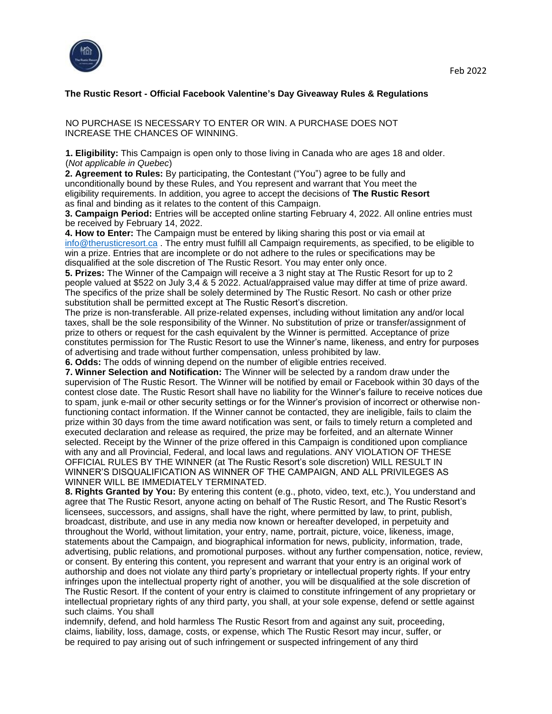

## **The Rustic Resort - Official Facebook Valentine's Day Giveaway Rules & Regulations**

NO PURCHASE IS NECESSARY TO ENTER OR WIN. A PURCHASE DOES NOT INCREASE THE CHANCES OF WINNING.

**1. Eligibility:** This Campaign is open only to those living in Canada who are ages 18 and older. (*Not applicable in Quebec*)

**2. Agreement to Rules:** By participating, the Contestant ("You") agree to be fully and unconditionally bound by these Rules, and You represent and warrant that You meet the eligibility requirements. In addition, you agree to accept the decisions of **The Rustic Resort** as final and binding as it relates to the content of this Campaign.

**3. Campaign Period:** Entries will be accepted online starting February 4, 2022. All online entries must be received by February 14, 2022.

**4. How to Enter:** The Campaign must be entered by liking sharing this post or via email at info@therusticresort.ca . The entry must fulfill all Campaign requirements, as specified, to be eligible to win a prize. Entries that are incomplete or do not adhere to the rules or specifications may be disqualified at the sole discretion of The Rustic Resort. You may enter only once.

**5. Prizes:** The Winner of the Campaign will receive a 3 night stay at The Rustic Resort for up to 2 people valued at \$522 on July 3,4 & 5 2022. Actual/appraised value may differ at time of prize award. The specifics of the prize shall be solely determined by The Rustic Resort. No cash or other prize substitution shall be permitted except at The Rustic Resort's discretion.

The prize is non-transferable. All prize-related expenses, including without limitation any and/or local taxes, shall be the sole responsibility of the Winner. No substitution of prize or transfer/assignment of prize to others or request for the cash equivalent by the Winner is permitted. Acceptance of prize constitutes permission for The Rustic Resort to use the Winner's name, likeness, and entry for purposes of advertising and trade without further compensation, unless prohibited by law.

**6. Odds:** The odds of winning depend on the number of eligible entries received.

**7. Winner Selection and Notification:** The Winner will be selected by a random draw under the supervision of The Rustic Resort. The Winner will be notified by email or Facebook within 30 days of the contest close date. The Rustic Resort shall have no liability for the Winner's failure to receive notices due to spam, junk e-mail or other security settings or for the Winner's provision of incorrect or otherwise nonfunctioning contact information. If the Winner cannot be contacted, they are ineligible, fails to claim the prize within 30 days from the time award notification was sent, or fails to timely return a completed and executed declaration and release as required, the prize may be forfeited, and an alternate Winner selected. Receipt by the Winner of the prize offered in this Campaign is conditioned upon compliance with any and all Provincial, Federal, and local laws and regulations. ANY VIOLATION OF THESE OFFICIAL RULES BY THE WINNER (at The Rustic Resort's sole discretion) WILL RESULT IN WINNER'S DISQUALIFICATION AS WINNER OF THE CAMPAIGN, AND ALL PRIVILEGES AS WINNER WILL BE IMMEDIATELY TERMINATED.

**8. Rights Granted by You:** By entering this content (e.g., photo, video, text, etc.), You understand and agree that The Rustic Resort, anyone acting on behalf of The Rustic Resort, and The Rustic Resort's licensees, successors, and assigns, shall have the right, where permitted by law, to print, publish, broadcast, distribute, and use in any media now known or hereafter developed, in perpetuity and throughout the World, without limitation, your entry, name, portrait, picture, voice, likeness, image, statements about the Campaign, and biographical information for news, publicity, information, trade, advertising, public relations, and promotional purposes. without any further compensation, notice, review, or consent. By entering this content, you represent and warrant that your entry is an original work of authorship and does not violate any third party's proprietary or intellectual property rights. If your entry infringes upon the intellectual property right of another, you will be disqualified at the sole discretion of The Rustic Resort. If the content of your entry is claimed to constitute infringement of any proprietary or intellectual proprietary rights of any third party, you shall, at your sole expense, defend or settle against such claims. You shall

indemnify, defend, and hold harmless The Rustic Resort from and against any suit, proceeding, claims, liability, loss, damage, costs, or expense, which The Rustic Resort may incur, suffer, or be required to pay arising out of such infringement or suspected infringement of any third